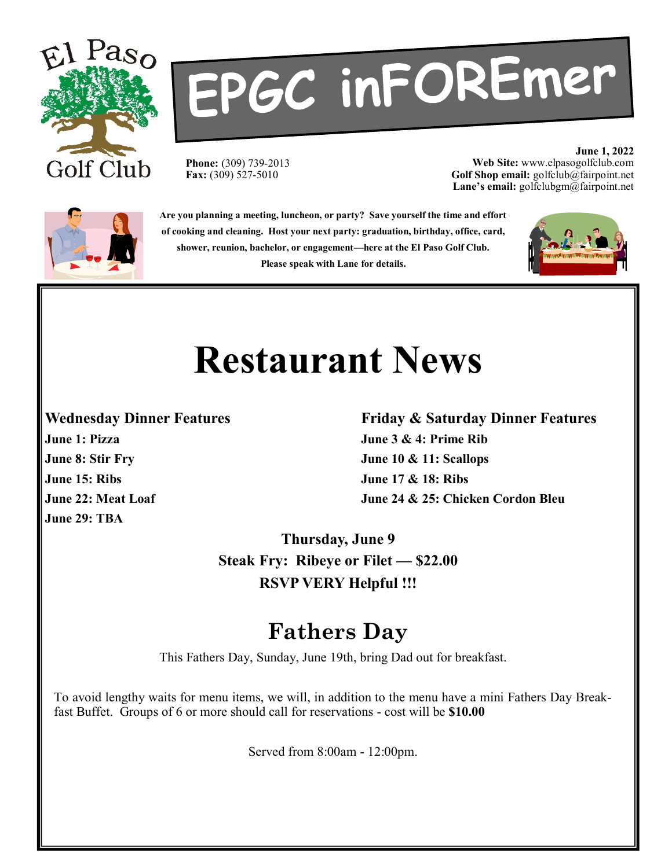

# EPGC inFOREmer

**Phone:** (309) 739-2013 **Fax:** (309) 527-5010

**June 1, 2022 Web Site:** www.elpasogolfclub.com **Golf Shop email:** golfclub@fairpoint.net **Lane's email:** golfclubgm@fairpoint.net



**Are you planning a meeting, luncheon, or party? Save yourself the time and effort of cooking and cleaning. Host your next party: graduation, birthday, office, card, shower, reunion, bachelor, or engagement—here at the El Paso Golf Club. Please speak with Lane for details.**



# **Restaurant News**

**June 15: Ribs June 17 & 18: Ribs June 29: TBA**

#### **Wednesday Dinner Features Friday & Saturday Dinner Features June 1: Pizza June 3 & 4: Prime Rib June 8: Stir Fry June 10 & 11: Scallops June 22: Meat Loaf June 24 & 25: Chicken Cordon Bleu**

**Thursday, June 9 Steak Fry: Ribeye or Filet — \$22.00 RSVP VERY Helpful !!!**

#### **Fathers Day**

This Fathers Day, Sunday, June 19th, bring Dad out for breakfast.

To avoid lengthy waits for menu items, we will, in addition to the menu have a mini Fathers Day Breakfast Buffet. Groups of 6 or more should call for reservations - cost will be **\$10.00**

Served from 8:00am - 12:00pm.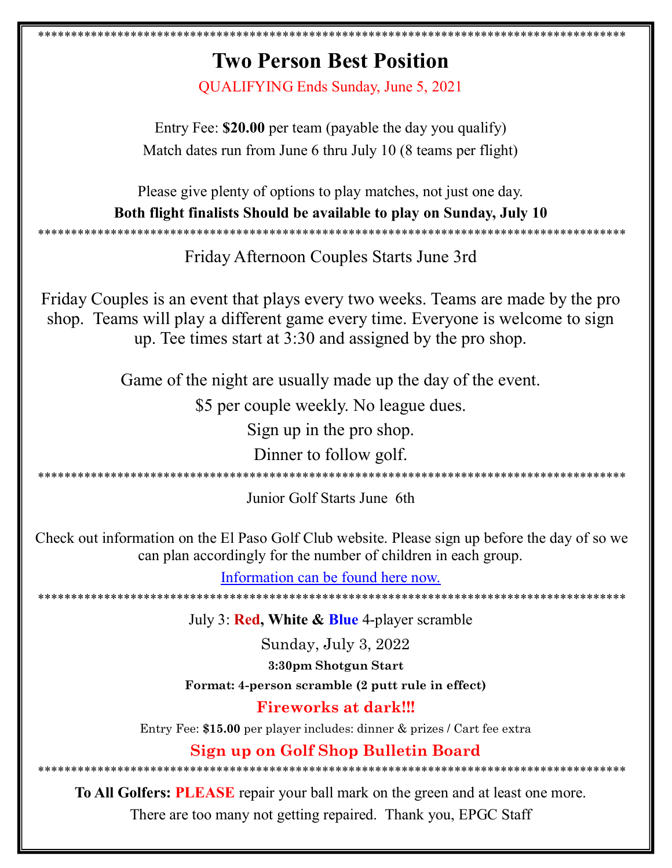### **Two Person Best Position** QUALIFYING Ends Sunday, June 5, 2021 Entry Fee: \$20.00 per team (payable the day you qualify) Match dates run from June 6 thru July 10 (8 teams per flight) Please give plenty of options to play matches, not just one day. Both flight finalists Should be available to play on Sunday, July 10 Friday Afternoon Couples Starts June 3rd Friday Couples is an event that plays every two weeks. Teams are made by the pro shop. Teams will play a different game every time. Everyone is welcome to sign up. Tee times start at 3:30 and assigned by the pro shop. Game of the night are usually made up the day of the event. \$5 per couple weekly. No league dues. Sign up in the pro shop. Dinner to follow golf. Junior Golf Starts June 6th Check out information on the El Paso Golf Club website. Please sign up before the day of so we can plan accordingly for the number of children in each group. Information can be found here now. July 3: Red, White & Blue 4-player scramble Sunday, July 3, 2022 3:30pm Shotgun Start Format: 4-person scramble (2 putt rule in effect) **Fireworks at dark!!!** Entry Fee: \$15.00 per player includes: dinner & prizes / Cart fee extra Sign up on Golf Shop Bulletin Board To All Golfers: PLEASE repair your ball mark on the green and at least one more.

There are too many not getting repaired. Thank you, EPGC Staff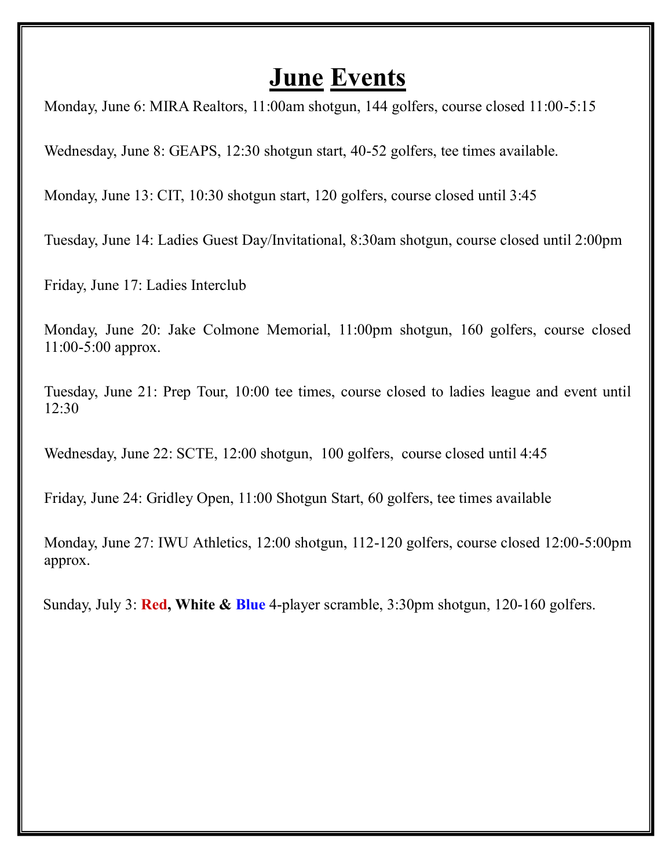#### **June Events**

Monday, June 6: MIRA Realtors, 11:00am shotgun, 144 golfers, course closed 11:00-5:15

Wednesday, June 8: GEAPS, 12:30 shotgun start, 40-52 golfers, tee times available.

Monday, June 13: CIT, 10:30 shotgun start, 120 golfers, course closed until 3:45

Tuesday, June 14: Ladies Guest Day/Invitational, 8:30am shotgun, course closed until 2:00pm

Friday, June 17: Ladies Interclub

Monday, June 20: Jake Colmone Memorial, 11:00pm shotgun, 160 golfers, course closed 11:00-5:00 approx.

Tuesday, June 21: Prep Tour, 10:00 tee times, course closed to ladies league and event until 12:30

Wednesday, June 22: SCTE, 12:00 shotgun, 100 golfers, course closed until 4:45

Friday, June 24: Gridley Open, 11:00 Shotgun Start, 60 golfers, tee times available

Monday, June 27: IWU Athletics, 12:00 shotgun, 112-120 golfers, course closed 12:00-5:00pm approx.

Sunday, July 3: **Red, White & Blue** 4-player scramble, 3:30pm shotgun, 120-160 golfers.